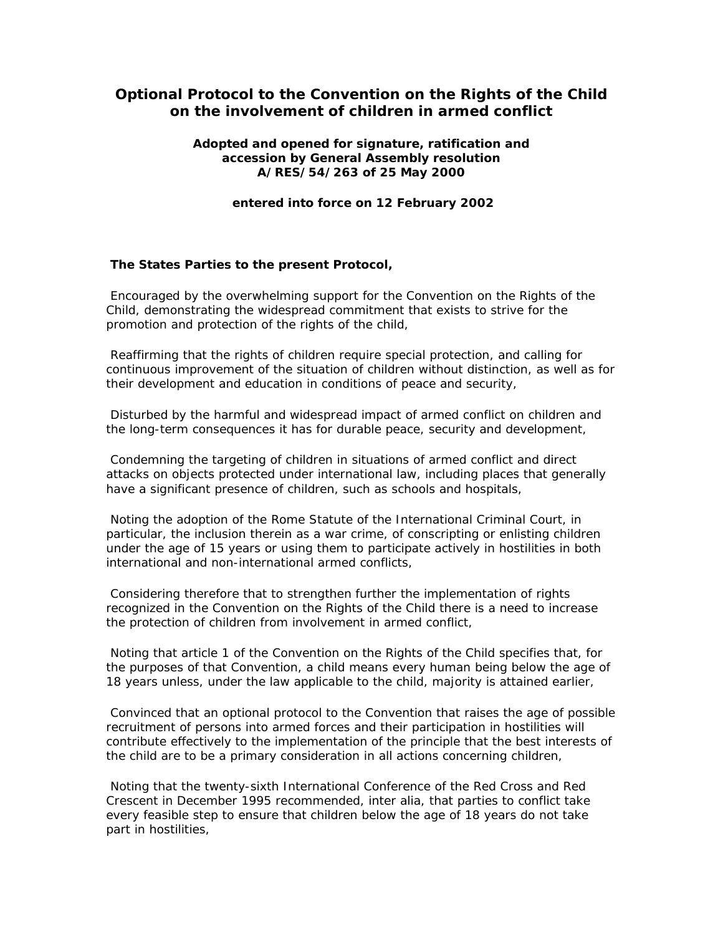# **Optional Protocol to the Convention on the Rights of the Child on the involvement of children in armed conflict**

#### **Adopted and opened for signature, ratification and accession by General Assembly resolution A/RES/54/263 of 25 May 2000**

#### **entered into force on 12 February 2002**

#### *The States Parties to the present Protocol,*

 Encouraged by the overwhelming support for the Convention on the Rights of the Child, demonstrating the widespread commitment that exists to strive for the promotion and protection of the rights of the child,

 Reaffirming that the rights of children require special protection, and calling for continuous improvement of the situation of children without distinction, as well as for their development and education in conditions of peace and security,

 Disturbed by the harmful and widespread impact of armed conflict on children and the long-term consequences it has for durable peace, security and development,

 Condemning the targeting of children in situations of armed conflict and direct attacks on objects protected under international law, including places that generally have a significant presence of children, such as schools and hospitals,

 Noting the adoption of the Rome Statute of the International Criminal Court, in particular, the inclusion therein as a war crime, of conscripting or enlisting children under the age of 15 years or using them to participate actively in hostilities in both international and non-international armed conflicts,

 Considering therefore that to strengthen further the implementation of rights recognized in the Convention on the Rights of the Child there is a need to increase the protection of children from involvement in armed conflict,

 Noting that article 1 of the Convention on the Rights of the Child specifies that, for the purposes of that Convention, a child means every human being below the age of 18 years unless, under the law applicable to the child, majority is attained earlier,

 Convinced that an optional protocol to the Convention that raises the age of possible recruitment of persons into armed forces and their participation in hostilities will contribute effectively to the implementation of the principle that the best interests of the child are to be a primary consideration in all actions concerning children,

 Noting that the twenty-sixth International Conference of the Red Cross and Red Crescent in December 1995 recommended, inter alia, that parties to conflict take every feasible step to ensure that children below the age of 18 years do not take part in hostilities,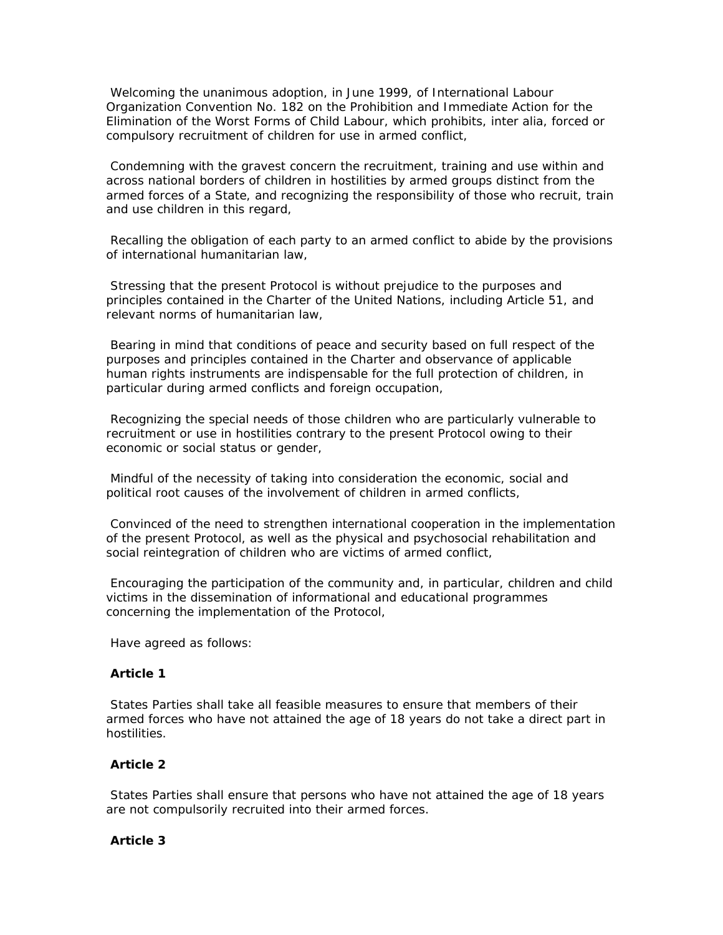Welcoming the unanimous adoption, in June 1999, of International Labour Organization Convention No. 182 on the Prohibition and Immediate Action for the Elimination of the Worst Forms of Child Labour, which prohibits, inter alia, forced or compulsory recruitment of children for use in armed conflict,

 Condemning with the gravest concern the recruitment, training and use within and across national borders of children in hostilities by armed groups distinct from the armed forces of a State, and recognizing the responsibility of those who recruit, train and use children in this regard,

 Recalling the obligation of each party to an armed conflict to abide by the provisions of international humanitarian law,

 Stressing that the present Protocol is without prejudice to the purposes and principles contained in the Charter of the United Nations, including Article 51, and relevant norms of humanitarian law,

 Bearing in mind that conditions of peace and security based on full respect of the purposes and principles contained in the Charter and observance of applicable human rights instruments are indispensable for the full protection of children, in particular during armed conflicts and foreign occupation,

 Recognizing the special needs of those children who are particularly vulnerable to recruitment or use in hostilities contrary to the present Protocol owing to their economic or social status or gender,

 Mindful of the necessity of taking into consideration the economic, social and political root causes of the involvement of children in armed conflicts,

 Convinced of the need to strengthen international cooperation in the implementation of the present Protocol, as well as the physical and psychosocial rehabilitation and social reintegration of children who are victims of armed conflict,

 Encouraging the participation of the community and, in particular, children and child victims in the dissemination of informational and educational programmes concerning the implementation of the Protocol,

Have agreed as follows:

### *Article 1*

 States Parties shall take all feasible measures to ensure that members of their armed forces who have not attained the age of 18 years do not take a direct part in hostilities.

### *Article 2*

 States Parties shall ensure that persons who have not attained the age of 18 years are not compulsorily recruited into their armed forces.

### *Article 3*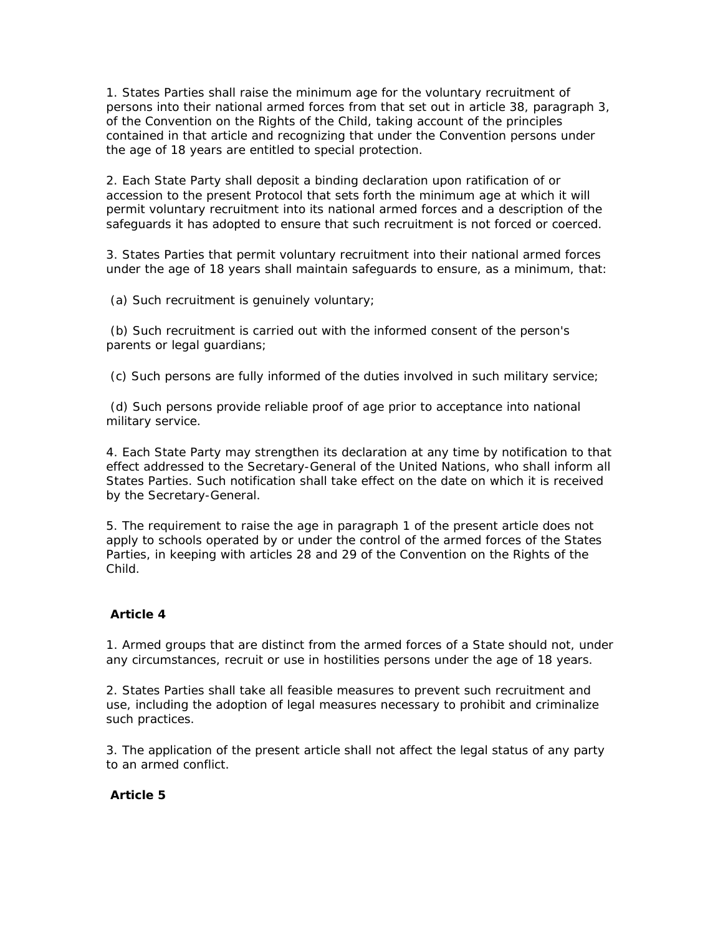1. States Parties shall raise the minimum age for the voluntary recruitment of persons into their national armed forces from that set out in article 38, paragraph 3, of the Convention on the Rights of the Child, taking account of the principles contained in that article and recognizing that under the Convention persons under the age of 18 years are entitled to special protection.

2. Each State Party shall deposit a binding declaration upon ratification of or accession to the present Protocol that sets forth the minimum age at which it will permit voluntary recruitment into its national armed forces and a description of the safeguards it has adopted to ensure that such recruitment is not forced or coerced.

3. States Parties that permit voluntary recruitment into their national armed forces under the age of 18 years shall maintain safeguards to ensure, as a minimum, that:

(a) Such recruitment is genuinely voluntary;

 (b) Such recruitment is carried out with the informed consent of the person's parents or legal guardians;

(c) Such persons are fully informed of the duties involved in such military service;

 (d) Such persons provide reliable proof of age prior to acceptance into national military service.

4. Each State Party may strengthen its declaration at any time by notification to that effect addressed to the Secretary-General of the United Nations, who shall inform all States Parties. Such notification shall take effect on the date on which it is received by the Secretary-General.

5. The requirement to raise the age in paragraph 1 of the present article does not apply to schools operated by or under the control of the armed forces of the States Parties, in keeping with articles 28 and 29 of the Convention on the Rights of the Child.

### *Article 4*

1. Armed groups that are distinct from the armed forces of a State should not, under any circumstances, recruit or use in hostilities persons under the age of 18 years.

2. States Parties shall take all feasible measures to prevent such recruitment and use, including the adoption of legal measures necessary to prohibit and criminalize such practices.

3. The application of the present article shall not affect the legal status of any party to an armed conflict.

### *Article 5*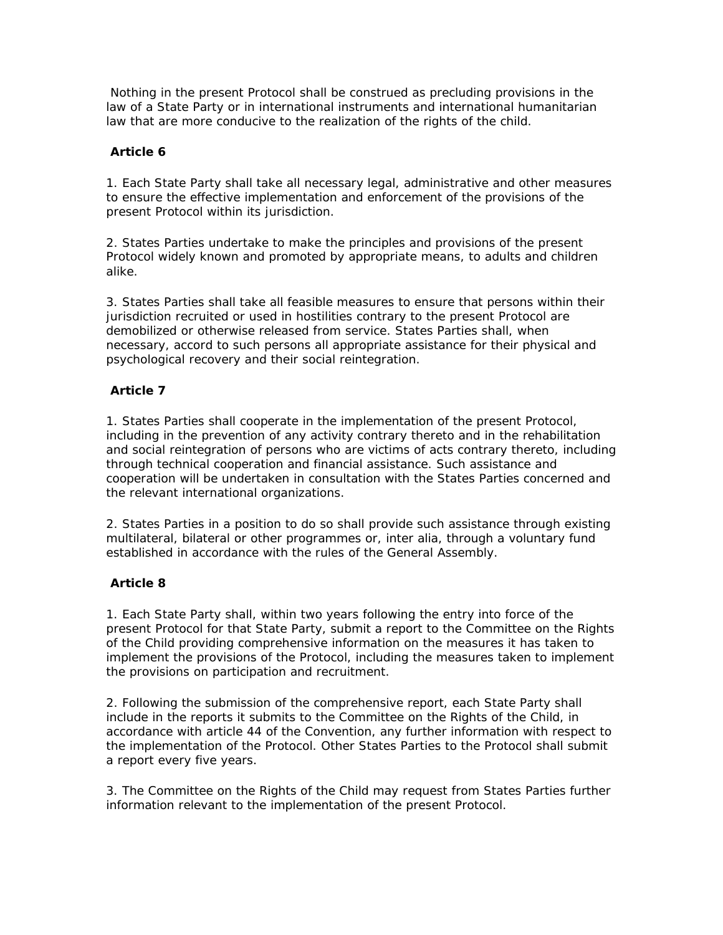Nothing in the present Protocol shall be construed as precluding provisions in the law of a State Party or in international instruments and international humanitarian law that are more conducive to the realization of the rights of the child.

# *Article 6*

1. Each State Party shall take all necessary legal, administrative and other measures to ensure the effective implementation and enforcement of the provisions of the present Protocol within its jurisdiction.

2. States Parties undertake to make the principles and provisions of the present Protocol widely known and promoted by appropriate means, to adults and children alike.

3. States Parties shall take all feasible measures to ensure that persons within their jurisdiction recruited or used in hostilities contrary to the present Protocol are demobilized or otherwise released from service. States Parties shall, when necessary, accord to such persons all appropriate assistance for their physical and psychological recovery and their social reintegration.

# *Article 7*

1. States Parties shall cooperate in the implementation of the present Protocol, including in the prevention of any activity contrary thereto and in the rehabilitation and social reintegration of persons who are victims of acts contrary thereto, including through technical cooperation and financial assistance. Such assistance and cooperation will be undertaken in consultation with the States Parties concerned and the relevant international organizations.

2. States Parties in a position to do so shall provide such assistance through existing multilateral, bilateral or other programmes or, inter alia, through a voluntary fund established in accordance with the rules of the General Assembly.

# *Article 8*

1. Each State Party shall, within two years following the entry into force of the present Protocol for that State Party, submit a report to the Committee on the Rights of the Child providing comprehensive information on the measures it has taken to implement the provisions of the Protocol, including the measures taken to implement the provisions on participation and recruitment.

2. Following the submission of the comprehensive report, each State Party shall include in the reports it submits to the Committee on the Rights of the Child, in accordance with article 44 of the Convention, any further information with respect to the implementation of the Protocol. Other States Parties to the Protocol shall submit a report every five years.

3. The Committee on the Rights of the Child may request from States Parties further information relevant to the implementation of the present Protocol.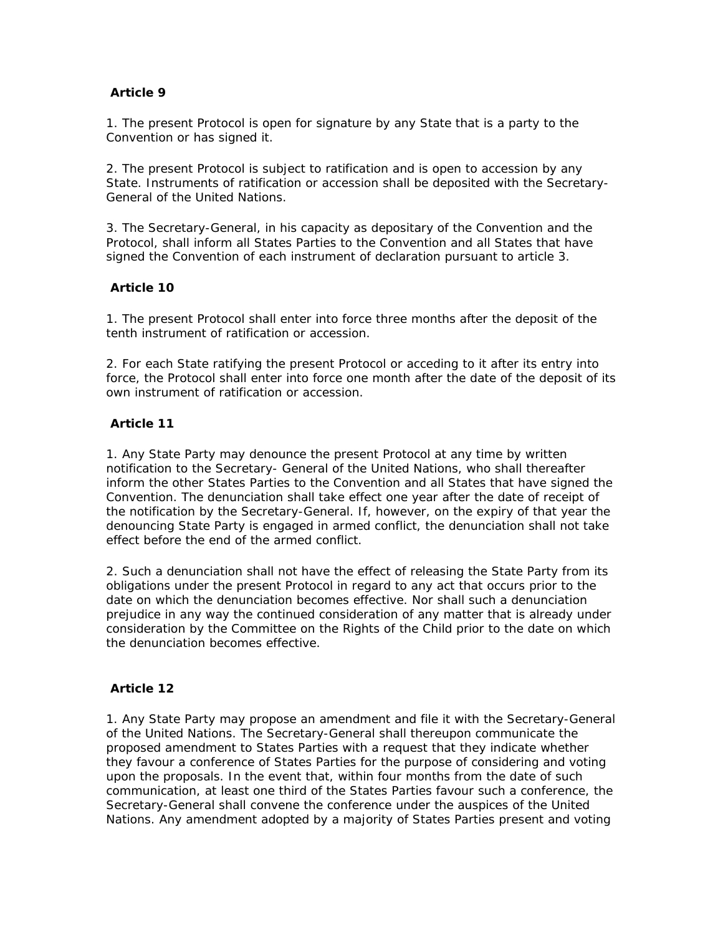## *Article 9*

1. The present Protocol is open for signature by any State that is a party to the Convention or has signed it.

2. The present Protocol is subject to ratification and is open to accession by any State. Instruments of ratification or accession shall be deposited with the Secretary-General of the United Nations.

3. The Secretary-General, in his capacity as depositary of the Convention and the Protocol, shall inform all States Parties to the Convention and all States that have signed the Convention of each instrument of declaration pursuant to article 3.

## *Article 10*

1. The present Protocol shall enter into force three months after the deposit of the tenth instrument of ratification or accession.

2. For each State ratifying the present Protocol or acceding to it after its entry into force, the Protocol shall enter into force one month after the date of the deposit of its own instrument of ratification or accession.

## *Article 11*

1. Any State Party may denounce the present Protocol at any time by written notification to the Secretary- General of the United Nations, who shall thereafter inform the other States Parties to the Convention and all States that have signed the Convention. The denunciation shall take effect one year after the date of receipt of the notification by the Secretary-General. If, however, on the expiry of that year the denouncing State Party is engaged in armed conflict, the denunciation shall not take effect before the end of the armed conflict.

2. Such a denunciation shall not have the effect of releasing the State Party from its obligations under the present Protocol in regard to any act that occurs prior to the date on which the denunciation becomes effective. Nor shall such a denunciation prejudice in any way the continued consideration of any matter that is already under consideration by the Committee on the Rights of the Child prior to the date on which the denunciation becomes effective.

## *Article 12*

1. Any State Party may propose an amendment and file it with the Secretary-General of the United Nations. The Secretary-General shall thereupon communicate the proposed amendment to States Parties with a request that they indicate whether they favour a conference of States Parties for the purpose of considering and voting upon the proposals. In the event that, within four months from the date of such communication, at least one third of the States Parties favour such a conference, the Secretary-General shall convene the conference under the auspices of the United Nations. Any amendment adopted by a majority of States Parties present and voting